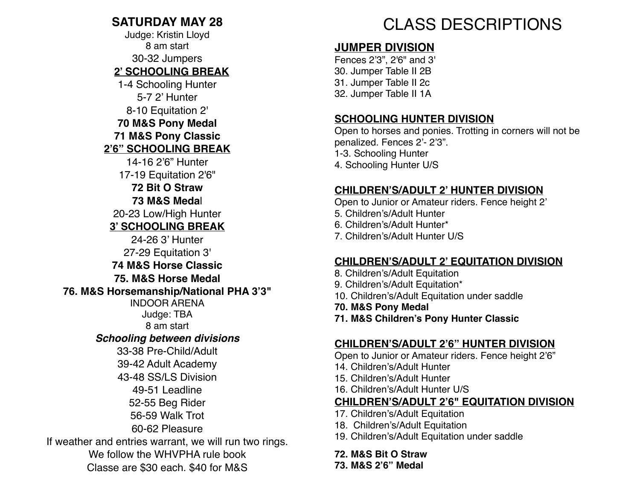#### **SATURDAY MAY 28**

Judge: Kristin Lloyd 8 am start 30-32 Jumpers **2' SCHOOLING BREAK** 1-4 Schooling Hunter 5-7 2' Hunter 8-10 Equitation 2' **70 M&S Pony Medal 71 M&S Pony Classic 2'6" SCHOOLING BREAK**  14-16 2'6" Hunter 17-19 Equitation 2'6" **72 Bit O Straw 73 M&S Meda**l 20-23 Low/High Hunter **3' SCHOOLING BREAK** 24-26 3' Hunter 27-29 Equitation 3' **74 M&S Horse Classic 75. M&S Horse Medal 76. M&S Horsemanship/National PHA 3'3"**  INDOOR ARENA Judge: TBA 8 am start *Schooling between divisions*  33-38 Pre-Child/Adult 39-42 Adult Academy 43-48 SS/LS Division 49-51 Leadline 52-55 Beg Rider 56-59 Walk Trot 60-62 Pleasure If weather and entries warrant, we will run two rings. We follow the WHVPHA rule book Classe are \$30 each. \$40 for M&S

# CLASS DESCRIPTIONS

### **JUMPER DIVISION**

Fences 2'3", 2'6" and 3' 30. Jumper Table II 2B 31. Jumper Table II 2c 32. Jumper Table II 1A

#### **SCHOOLING HUNTER DIVISION**

Open to horses and ponies. Trotting in corners will not be penalized. Fences 2'- 2'3". 1-3. Schooling Hunter 4. Schooling Hunter U/S

#### **CHILDREN'S/ADULT 2' HUNTER DIVISION**

Open to Junior or Amateur riders. Fence height 2' 5. Children's/Adult Hunter 6. Children's/Adult Hunter\*

7. Children's/Adult Hunter U/S

#### **CHILDREN'S/ADULT 2' EQUITATION DIVISION**

- 8. Children's/Adult Equitation
- 9. Children's/Adult Equitation\*
- 10. Children's/Adult Equitation under saddle
- **70. M&S Pony Medal**
- **71. M&S Children's Pony Hunter Classic**

#### **CHILDREN'S/ADULT 2'6" HUNTER DIVISION**

Open to Junior or Amateur riders. Fence height 2'6"

- 14. Children's/Adult Hunter
- 15. Children's/Adult Hunter
- 16. Children's/Adult Hunter U/S

#### **CHILDREN'S/ADULT 2'6" EQUITATION DIVISION**

- 17. Children's/Adult Equitation
- 18. Children's/Adult Equitation
- 19. Children's/Adult Equitation under saddle

**72. M&S Bit O Straw 73. M&S 2'6" Medal**